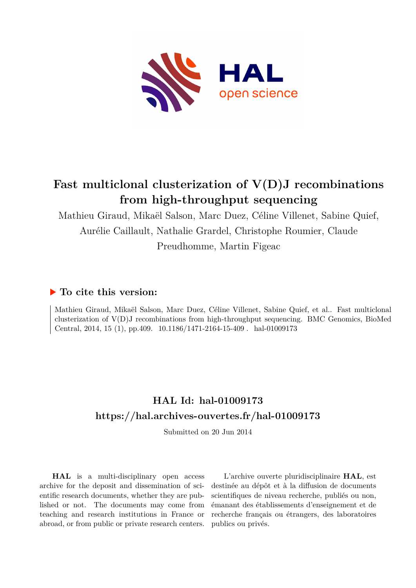

# **Fast multiclonal clusterization of V(D)J recombinations from high-throughput sequencing**

Mathieu Giraud, Mikaël Salson, Marc Duez, Céline Villenet, Sabine Quief, Aurélie Caillault, Nathalie Grardel, Christophe Roumier, Claude Preudhomme, Martin Figeac

# **To cite this version:**

Mathieu Giraud, Mikaël Salson, Marc Duez, Céline Villenet, Sabine Quief, et al.. Fast multiclonal clusterization of V(D)J recombinations from high-throughput sequencing. BMC Genomics, BioMed Central, 2014, 15 (1), pp.409.  $10.1186/1471-2164-15-409$ . hal-01009173

# **HAL Id: hal-01009173 <https://hal.archives-ouvertes.fr/hal-01009173>**

Submitted on 20 Jun 2014

**HAL** is a multi-disciplinary open access archive for the deposit and dissemination of scientific research documents, whether they are published or not. The documents may come from teaching and research institutions in France or abroad, or from public or private research centers.

L'archive ouverte pluridisciplinaire **HAL**, est destinée au dépôt et à la diffusion de documents scientifiques de niveau recherche, publiés ou non, émanant des établissements d'enseignement et de recherche français ou étrangers, des laboratoires publics ou privés.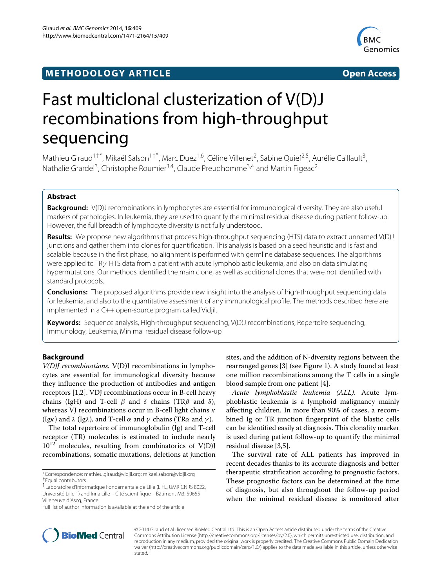# **METHODOLOGY ARTICLE Open Access**



# Fast multiclonal clusterization of V(D)J recombinations from high-throughput sequencing

Mathieu Giraud<sup>1†\*</sup>, Mikaël Salson<sup>1†\*</sup>, Marc Duez<sup>1,6</sup>, Céline Villenet<sup>2</sup>, Sabine Quief<sup>2,5</sup>, Aurélie Caillault<sup>3</sup> , Nathalie Grardel<sup>3</sup>, Christophe Roumier<sup>3,4</sup>, Claude Preudhomme<sup>3,4</sup> and Martin Figeac<sup>2</sup>

# **Abstract**

**Background:** V(D)J recombinations in lymphocytes are essential for immunological diversity. They are also useful markers of pathologies. In leukemia, they are used to quantify the minimal residual disease during patient follow-up. However, the full breadth of lymphocyte diversity is not fully understood.

**Results:** We propose new algorithms that process high-throughput sequencing (HTS) data to extract unnamed V(D)J junctions and gather them into clones for quantification. This analysis is based on a seed heuristic and is fast and scalable because in the first phase, no alignment is performed with germline database sequences. The algorithms were applied to TR<sub>Y</sub> HTS data from a patient with acute lymphoblastic leukemia, and also on data simulating hypermutations. Our methods identified the main clone, as well as additional clones that were not identified with standard protocols.

**Conclusions:** The proposed algorithms provide new insight into the analysis of high-throughput sequencing data for leukemia, and also to the quantitative assessment of any immunological profile. The methods described here are implemented in a C++ open-source program called Vidjil.

**Keywords:** Sequence analysis, High-throughput sequencing, V(D)J recombinations, Repertoire sequencing, Immunology, Leukemia, Minimal residual disease follow-up

# **Background**

 $V(D)$  recombinations.  $V(D)$  recombinations in lymphocytes are essential for immunological diversity because they influence the production of antibodies and antigen receptors [\[1,](#page-10-0)[2\]](#page-10-1). VDJ recombinations occur in B-cell heavy chains (IgH) and T-cell β and δ chains (TRβ and δ), whereas VJ recombinations occur in B-cell light chains  $\kappa$ (Igk) and  $\lambda$  (Ig $\lambda$ ), and T-cell  $\alpha$  and  $\gamma$  chains (TR $\alpha$  and  $\gamma$ ).

The total repertoire of immunoglobulin (Ig) and T-cell receptor (TR) molecules is estimated to include nearly  $10^{12}$  molecules, resulting from combinatorics of V(D)J recombinations, somatic mutations, deletions at junction

\*Correspondence: mathieu.giraud@vidjil.org; mikael.salson@vidjil.org † Equal contributors

sites, and the addition of N-diversity regions between the rearranged genes [\[3\]](#page-10-2) (see Figure [1\)](#page-2-0). A study found at least one million recombinations among the T cells in a single blood sample from one patient [\[4\]](#page-11-0).

Acute lymphoblastic leukemia (ALL). Acute lymphoblastic leukemia is a lymphoid malignancy mainly affecting children. In more than 90% of cases, a recombined Ig or TR junction fingerprint of the blastic cells can be identified easily at diagnosis. This clonality marker is used during patient follow-up to quantify the minimal residual disease [\[3,](#page-10-2)[5\]](#page-11-1).

The survival rate of ALL patients has improved in recent decades thanks to its accurate diagnosis and better therapeutic stratification according to prognostic factors. These prognostic factors can be determined at the time of diagnosis, but also throughout the follow-up period when the minimal residual disease is monitored after



© 2014 Giraud et al.; licensee BioMed Central Ltd. This is an Open Access article distributed under the terms of the Creative Commons Attribution License [\(http://creativecommons.org/licenses/by/2.0\)](http://creativecommons.org/licenses/by/2.0), which permits unrestricted use, distribution, and reproduction in any medium, provided the original work is properly credited. The Creative Commons Public Domain Dedication waiver (http://creativecommons.org/publicdomain/zero/1.0/) applies to the data made available in this article, unless otherwise stated.

<sup>1</sup>Laboratoire d'Informatique Fondamentale de Lille (LIFL, UMR CNRS 8022, Université Lille 1) and Inria Lille – Cité scientifique – Bâtiment M3, 59655 Villeneuve d'Ascq, France

Full list of author information is available at the end of the article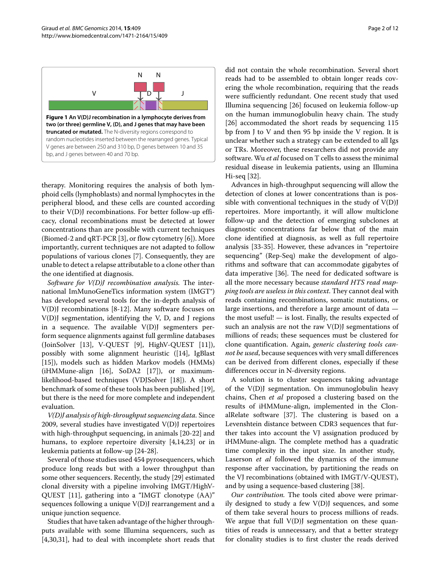<span id="page-2-0"></span>

therapy. Monitoring requires the analysis of both lymphoid cells (lymphoblasts) and normal lymphocytes in the peripheral blood, and these cells are counted according to their V(D)J recombinations. For better follow-up efficacy, clonal recombinations must be detected at lower concentrations than are possible with current techniques (Biomed-2 and qRT-PCR [\[3\]](#page-10-2), or flow cytometry [\[6\]](#page-11-2)). More importantly, current techniques are not adapted to follow populations of various clones [\[7\]](#page-11-3). Consequently, they are unable to detect a relapse attributable to a clone other than the one identified at diagnosis.

Software for V(D)J recombination analysis. The international ImMunoGeneTics information system (IMGT®) has developed several tools for the in-depth analysis of V(D)J recombinations [\[8](#page-11-4)[-12\]](#page-11-5). Many software focuses on V(D)J segmentation, identifying the V, D, and J regions in a sequence. The available  $V(D)$  segmenters perform sequence alignments against full germline databases (JoinSolver [\[13\]](#page-11-6), V-QUEST [\[9\]](#page-11-7), HighV-QUEST [\[11\]](#page-11-8)), possibly with some alignment heuristic ([\[14\]](#page-11-9), IgBlast [\[15\]](#page-11-10)), models such as hidden Markov models (HMMs) (iHMMune-align [\[16\]](#page-11-11), SoDA2 [\[17\]](#page-11-12)), or maximumlikelihood-based techniques (VDJSolver [\[18\]](#page-11-13)). A short benchmark of some of these tools has been published [\[19\]](#page-11-14), but there is the need for more complete and independent evaluation.

V(D)J analysis of high-throughput sequencing data. Since 2009, several studies have investigated V(D)J repertoires with high-throughput sequencing, in animals [\[20](#page-11-15)[-22\]](#page-11-16) and humans, to explore repertoire diversity [\[4,](#page-11-0)[14,](#page-11-9)[23\]](#page-11-17) or in leukemia patients at follow-up [\[24](#page-11-18)[-28\]](#page-11-19).

Several of those studies used 454 pyrosequencers, which produce long reads but with a lower throughput than some other sequencers. Recently, the study [\[29\]](#page-11-20) estimated clonal diversity with a pipeline involving IMGT/HighV-QUEST [\[11\]](#page-11-8), gathering into a "IMGT clonotype (AA)" sequences following a unique V(D)J rearrangement and a unique junction sequence.

Studies that have taken advantage of the higher throughputs available with some Illumina sequencers, such as [\[4](#page-11-0)[,30](#page-11-21)[,31\]](#page-11-22), had to deal with incomplete short reads that did not contain the whole recombination. Several short reads had to be assembled to obtain longer reads covering the whole recombination, requiring that the reads were sufficiently redundant. One recent study that used Illumina sequencing [\[26\]](#page-11-23) focused on leukemia follow-up on the human immunoglobulin heavy chain. The study [\[26\]](#page-11-23) accommodated the short reads by sequencing 115 bp from J to V and then 95 bp inside the V region. It is unclear whether such a strategy can be extended to all Igs or TRs. Moreover, these researchers did not provide any software. Wu et al focused on T cells to assess the minimal residual disease in leukemia patients, using an Illumina Hi-seq [\[32\]](#page-11-24).

Advances in high-throughput sequencing will allow the detection of clones at lower concentrations than is possible with conventional techniques in the study of  $V(D)$  J repertoires. More importantly, it will allow multiclone follow-up and the detection of emerging subclones at diagnostic concentrations far below that of the main clone identified at diagnosis, as well as full repertoire analysis [\[33](#page-11-25)[-35\]](#page-11-26). However, these advances in "repertoire sequencing" (Rep-Seq) make the development of algorithms and software that can accommodate gigabytes of data imperative [\[36\]](#page-11-27). The need for dedicated software is all the more necessary because standard HTS read mapping tools are useless in this context. They cannot deal with reads containing recombinations, somatic mutations, or large insertions, and therefore a large amount of data the most useful! — is lost. Finally, the results expected of such an analysis are not the raw  $V(D)$  segmentations of millions of reads; these sequences must be clustered for clone quantification. Again, generic clustering tools cannot be used, because sequences with very small differences can be derived from different clones, especially if these differences occur in N-diversity regions.

A solution is to cluster sequences taking advantage of the V(D)J segmentation. On immunoglobulin heavy chains, Chen et al proposed a clustering based on the results of iHMMune-align, implemented in the ClonalRelate software [\[37\]](#page-11-28). The clustering is based on a Levenshtein distance between CDR3 sequences that further takes into account the VJ assignation produced by iHMMune-align. The complete method has a quadratic time complexity in the input size. In another study, Laserson *et al* followed the dynamics of the immune response after vaccination, by partitioning the reads on the VJ recombinations (obtained with IMGT/V-QUEST), and by using a sequence-based clustering [\[38\]](#page-11-29).

Our contribution. The tools cited above were primarily designed to study a few  $V(D)$  sequences, and some of them take several hours to process millions of reads. We argue that full V(D)J segmentation on these quantities of reads is unnecessary, and that a better strategy for clonality studies is to first cluster the reads derived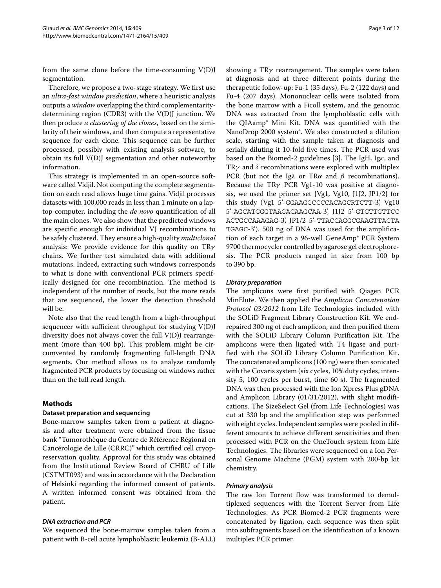from the same clone before the time-consuming V(D)J segmentation.

Therefore, we propose a two-stage strategy. We first use an *ultra-fast window prediction*, where a heuristic analysis outputs a *window* overlapping the third complementaritydetermining region (CDR3) with the V(D)J junction. We then produce *a clustering of the clones*, based on the similarity of their windows, and then compute a representative sequence for each clone. This sequence can be further processed, possibly with existing analysis software, to obtain its full V(D)J segmentation and other noteworthy information.

This strategy is implemented in an open-source software called Vidjil. Not computing the complete segmentation on each read allows huge time gains. Vidjil processes datasets with 100,000 reads in less than 1 minute on a laptop computer, including the de novo quantification of all the main clones. We also show that the predicted windows are specific enough for individual VJ recombinations to be safely clustered. They ensure a high-quality *multiclonal* analysis: We provide evidence for this quality on  $TR\gamma$ chains. We further test simulated data with additional mutations. Indeed, extracting such windows corresponds to what is done with conventional PCR primers specifically designed for one recombination. The method is independent of the number of reads, but the more reads that are sequenced, the lower the detection threshold will be.

Note also that the read length from a high-throughput sequencer with sufficient throughput for studying V(D)J diversity does not always cover the full V(D)J rearrangement (more than 400 bp). This problem might be circumvented by randomly fragmenting full-length DNA segments. Our method allows us to analyze randomly fragmented PCR products by focusing on windows rather than on the full read length.

# **Methods**

#### **Dataset preparation and sequencing**

Bone-marrow samples taken from a patient at diagnosis and after treatment were obtained from the tissue bank "Tumorothèque du Centre de Référence Régional en Cancérologie de Lille (CRRC)" which certified cell cryopreservation quality. Approval for this study was obtained from the Institutional Review Board of CHRU of Lille (CSTMT093) and was in accordance with the Declaration of Helsinki regarding the informed consent of patients. A written informed consent was obtained from the patient.

# **DNA extraction and PCR**

We sequenced the bone-marrow samples taken from a patient with B-cell acute lymphoblastic leukemia (B-ALL) showing a TR $\gamma$  rearrangement. The samples were taken at diagnosis and at three different points during the therapeutic follow-up: Fu-1 (35 days), Fu-2 (122 days) and Fu-4 (207 days). Mononuclear cells were isolated from the bone marrow with a Ficoll system, and the genomic DNA was extracted from the lymphoblastic cells with the QIAamp® Mini Kit. DNA was quantified with the NanoDrop 2000 system®. We also constructed a dilution scale, starting with the sample taken at diagnosis and serially diluting it 10-fold five times. The PCR used was based on the Biomed-2 guidelines [\[3\]](#page-10-2). The IgH, Igκ, and TR $\gamma$  and  $\delta$  recombinations were explored with multiplex PCR (but not the Igλ or TRα and β recombinations). Because the TR $\gamma$  PCR Vg1-10 was positive at diagnosis, we used the primer set {Vg1, Vg10, J1J2, JP1/2} for this study (Vg1 5'-GGAAGGCCCCACAGCRTCTT-3', Vg10 5'-AGCATGGGTAAGACAAGCAA-3', J1J2 5'-GTGTTGTTCC ACTGCCAAAGAG-3', JP1/2 5'-TTACCAGGCGAAGTTACTA TGAGC-3'). 500 ng of DNA was used for the amplification of each target in a 96-well GeneAmp® PCR System 9700 thermocycler controlled by agarose gel electrophoresis. The PCR products ranged in size from 100 bp to 390 bp.

# **Library preparation**

The amplicons were first purified with Qiagen PCR MinElute. We then applied the Amplicon Concatenation Protocol 03/2012 from Life Technologies included with the SOLiD Fragment Library Construction Kit. We endrepaired 300 ng of each amplicon, and then purified them with the SOLiD Library Column Purification Kit. The amplicons were then ligated with T4 ligase and purified with the SOLiD Library Column Purification Kit. The concatenated amplicons (100 ng) were then sonicated with the Covaris system (six cycles, 10% duty cycles, intensity 5, 100 cycles per burst, time 60 s). The fragmented DNA was then processed with the Ion Xpress Plus gDNA and Amplicon Library (01/31/2012), with slight modifications. The SizeSelect Gel (from Life Technologies) was cut at 330 bp and the amplification step was performed with eight cycles. Independent samples were pooled in different amounts to achieve different sensitivities and then processed with PCR on the OneTouch system from Life Technologies. The libraries were sequenced on a Ion Personal Genome Machine (PGM) system with 200-bp kit chemistry.

#### **Primary analysis**

The raw Ion Torrent flow was transformed to demultiplexed sequences with the Torrent Server from Life Technologies. As PCR Biomed-2 PCR fragments were concatenated by ligation, each sequence was then split into subfragments based on the identification of a known multiplex PCR primer.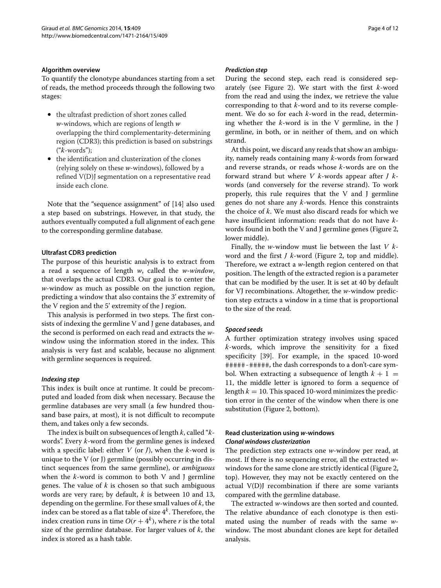#### **Algorithm overview**

To quantify the clonotype abundances starting from a set of reads, the method proceeds through the following two stages:

- the ultrafast prediction of short zones called  $w$ -windows, which are regions of length  $w$ overlapping the third complementarity-determining region (CDR3); this prediction is based on substrings  $(*k$ -words");
- the identification and clusterization of the clones (relying solely on these w-windows), followed by a refined V(D)J segmentation on a representative read inside each clone.

Note that the "sequence assignment" of [\[14\]](#page-11-9) also used a step based on substrings. However, in that study, the authors eventually computed a full alignment of each gene to the corresponding germline database.

#### **Ultrafast CDR3 prediction**

The purpose of this heuristic analysis is to extract from a read a sequence of length  $w$ , called the  $w$ -window, that overlaps the actual CDR3. Our goal is to center the w-window as much as possible on the junction region, predicting a window that also contains the 3' extremity of the V region and the 5' extremity of the J region.

This analysis is performed in two steps. The first consists of indexing the germline V and J gene databases, and the second is performed on each read and extracts the wwindow using the information stored in the index. This analysis is very fast and scalable, because no alignment with germline sequences is required.

#### **Indexing step**

This index is built once at runtime. It could be precomputed and loaded from disk when necessary. Because the germline databases are very small (a few hundred thousand base pairs, at most), it is not difficult to recompute them, and takes only a few seconds.

The index is built on subsequences of length  $k$ , called " $k$ words". Every k-word from the germline genes is indexed with a specific label: either  $V$  (or *J*), when the  $k$ -word is unique to the V (or J) germline (possibly occurring in distinct sequences from the same germline), or ambiguous when the  $k$ -word is common to both V and J germline genes. The value of  $k$  is chosen so that such ambiguous words are very rare; by default,  $k$  is between 10 and 13, depending on the germline. For these small values of  $k$ , the index can be stored as a flat table of size  $4^k$ . Therefore, the index creation runs in time  $O(r+4^k)$ , where r is the total size of the germline database. For larger values of  $k$ , the index is stored as a hash table.

#### **Prediction step**

During the second step, each read is considered sep-arately (see Figure [2\)](#page-5-0). We start with the first  $k$ -word from the read and using the index, we retrieve the value corresponding to that  $k$ -word and to its reverse complement. We do so for each k-word in the read, determining whether the  $k$ -word is in the V germline, in the J germline, in both, or in neither of them, and on which strand.

At this point, we discard any reads that show an ambiguity, namely reads containing many k-words from forward and reverse strands, or reads whose k-words are on the forward strand but where V  $k$ -words appear after *I k*words (and conversely for the reverse strand). To work properly, this rule requires that the V and J germline genes do not share any k-words. Hence this constraints the choice of  $k$ . We must also discard reads for which we have insufficient information: reads that do not have kwords found in both the V and J germline genes (Figure [2,](#page-5-0) lower middle).

Finally, the *w*-window must lie between the last  $V$   $k$ word and the first  $J$  k-word (Figure [2,](#page-5-0) top and middle). Therefore, we extract a w-length region centered on that position. The length of the extracted region is a parameter that can be modified by the user. It is set at 40 by default for VJ recombinations. Altogether, the w-window prediction step extracts a window in a time that is proportional to the size of the read.

# **Spaced seeds**

A further optimization strategy involves using spaced k-words, which improve the sensitivity for a fixed specificity [\[39\]](#page-12-0). For example, in the spaced 10-word #####-#####, the dash corresponds to a don't-care symbol. When extracting a subsequence of length  $k + 1 =$ 11, the middle letter is ignored to form a sequence of length  $k = 10$ . This spaced 10-word minimizes the prediction error in the center of the window when there is one substitution (Figure [2,](#page-5-0) bottom).

#### **Read clusterization using w-windows Clonal windows clusterization**

The prediction step extracts one w-window per read, at most. If there is no sequencing error, all the extracted wwindows for the same clone are strictly identical (Figure [2,](#page-5-0) top). However, they may not be exactly centered on the actual V(D)J recombination if there are some variants compared with the germline database.

The extracted w-windows are then sorted and counted. The relative abundance of each clonotype is then estimated using the number of reads with the same wwindow. The most abundant clones are kept for detailed analysis.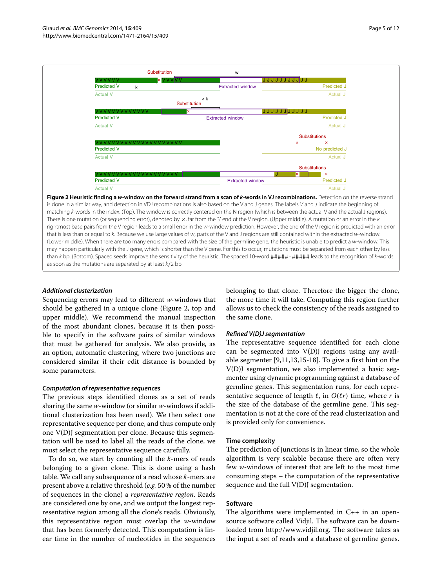



<span id="page-5-0"></span>(Lower middle). When there are too many errors compared with the size of the germline gene, the heuristic is unable to predict a *w*-window. This may happen particularly with the J gene, which is shorter than the V gene. For this to occur, mutations must be separated from each other by less than *k* bp. (Bottom). Spaced seeds improve the sensitivity of the heuristic. The spaced 10-word #####-##### leads to the recognition of *k*-words as soon as the mutations are separated by at least *k*/2 bp.

#### **Additional clusterization**

Sequencing errors may lead to different w-windows that should be gathered in a unique clone (Figure [2,](#page-5-0) top and upper middle). We recommend the manual inspection of the most abundant clones, because it is then possible to specify in the software pairs of similar windows that must be gathered for analysis. We also provide, as an option, automatic clustering, where two junctions are considered similar if their edit distance is bounded by some parameters.

#### **Computation of representative sequences**

The previous steps identified clones as a set of reads sharing the same w-window (or similar w-windows if additional clusterization has been used). We then select one representative sequence per clone, and thus compute only one V(D)J segmentation per clone. Because this segmentation will be used to label all the reads of the clone, we must select the representative sequence carefully.

To do so, we start by counting all the  $k$ -mers of reads belonging to a given clone. This is done using a hash table. We call any subsequence of a read whose  $k$ -mers are present above a relative threshold (e.g. 50 % of the number of sequences in the clone) a representative region. Reads are considered one by one, and we output the longest representative region among all the clone's reads. Obviously, this representative region must overlap the  $w$ -window that has been formerly detected. This computation is linear time in the number of nucleotides in the sequences

belonging to that clone. Therefore the bigger the clone, the more time it will take. Computing this region further allows us to check the consistency of the reads assigned to the same clone.

# **Refined V(D)J segmentation**

The representative sequence identified for each clone can be segmented into V(D)J regions using any available segmenter [\[9,](#page-11-7)[11,](#page-11-8)[13,](#page-11-6)[15](#page-11-10)[-18\]](#page-11-13). To give a first hint on the V(D)J segmentation, we also implemented a basic segmenter using dynamic programming against a database of germline genes. This segmentation runs, for each representative sequence of length  $\ell$ , in  $O(\ell r)$  time, where r is the size of the database of the germline gene. This segmentation is not at the core of the read clusterization and is provided only for convenience.

# **Time complexity**

The prediction of junctions is in linear time, so the whole algorithm is very scalable because there are often very few w-windows of interest that are left to the most time consuming steps – the computation of the representative sequence and the full V(D)J segmentation.

#### **Software**

The algorithms were implemented in  $C_{++}$  in an opensource software called Vidjil. The software can be downloaded from [http://www.vidjil.org.](http://www.vidjil.org) The software takes as the input a set of reads and a database of germline genes.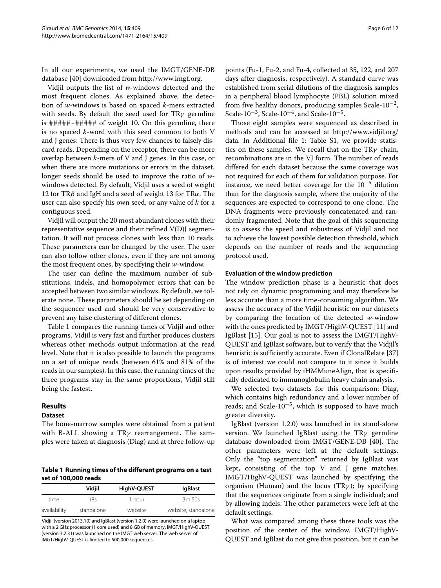In all our experiments, we used the IMGT/GENE-DB database [\[40\]](#page-12-1) downloaded from [http://www.imgt.org.](http://www.imgt.org)

Vidjil outputs the list of w-windows detected and the most frequent clones. As explained above, the detection of w-windows is based on spaced k-mers extracted with seeds. By default the seed used for  $TR\gamma$  germline is #####-##### of weight 10. On this germline, there is no spaced k-word with this seed common to both V and J genes: There is thus very few chances to falsely discard reads. Depending on the receptor, there can be more overlap between k-mers of V and J genes. In this case, or when there are more mutations or errors in the dataset, longer seeds should be used to improve the ratio of  $w$ windows detected. By default, Vidjil uses a seed of weight 12 for TR $\beta$  and IgH and a seed of weight 13 for TR $\alpha$ . The user can also specify his own seed, or any value of  $k$  for a contiguous seed.

Vidjil will output the 20 most abundant clones with their representative sequence and their refined V(D)J segmentation. It will not process clones with less than 10 reads. These parameters can be changed by the user. The user can also follow other clones, even if they are not among the most frequent ones, by specifying their w-window.

The user can define the maximum number of substitutions, indels, and homopolymer errors that can be accepted between two similar windows. By default, we tolerate none. These parameters should be set depending on the sequencer used and should be very conservative to prevent any false clustering of different clones.

Table [1](#page-6-0) compares the running times of Vidjil and other programs. Vidjil is very fast and further produces clusters whereas other methods output information at the read level. Note that it is also possible to launch the programs on a set of unique reads (between 61% and 81% of the reads in our samples). In this case, the running times of the three programs stay in the same proportions, Vidjil still being the fastest.

# **Results**

#### **Dataset**

The bone-marrow samples were obtained from a patient with B-ALL showing a TR $\gamma$  rearrangement. The samples were taken at diagnosis (Diag) and at three follow-up

<span id="page-6-0"></span>**Table 1 Running times of the different programs on a test set of 100,000 reads**

|              | Vidiil     | HighV-QUEST | <b>IgBlast</b>      |
|--------------|------------|-------------|---------------------|
| time         | 18s        | 1 hour      | 3m.50s              |
| availability | standalone | website     | website, standalone |

Vidjil (version 2013.10) and IgBlast (version 1.2.0) were launched on a laptop with a 2 GHz processor (1 core used) and 8 GB of memory. IMGT/HighV-QUEST (version 3.2.31) was launched on the IMGT web server. The web server of IMGT/HighV-QUEST is limited to 500,000 sequences.

points (Fu-1, Fu-2, and Fu-4, collected at 35, 122, and 207 days after diagnosis, respectively). A standard curve was established from serial dilutions of the diagnosis samples in a peripheral blood lymphocyte (PBL) solution mixed from five healthy donors, producing samples Scale- $10^{-2}$ , Scale- $10^{-3}$ , Scale- $10^{-4}$ , and Scale- $10^{-5}$ .

Those eight samples were sequenced as described in methods and can be accessed at [http://www.vidjil.org/](http://www.vidjil.org/data) [data.](http://www.vidjil.org/data) In Additional file [1:](#page-10-3) Table S1, we provide statistics on these samples. We recall that on the TR $\gamma$  chain, recombinations are in the VJ form. The number of reads differed for each dataset because the same coverage was not required for each of them for validation purpose. For instance, we need better coverage for the  $10^{-5}$  dilution than for the diagnosis sample, where the majority of the sequences are expected to correspond to one clone. The DNA fragments were previously concatenated and randomly fragmented. Note that the goal of this sequencing is to assess the speed and robustness of Vidjil and not to achieve the lowest possible detection threshold, which depends on the number of reads and the sequencing protocol used.

#### **Evaluation of the window prediction**

The window prediction phase is a heuristic that does not rely on dynamic programming and may therefore be less accurate than a more time-consuming algorithm. We assess the accuracy of the Vidjil heuristic on our datasets by comparing the location of the detected w-window with the ones predicted by IMGT/HighV-QUEST [\[11\]](#page-11-8) and IgBlast [\[15\]](#page-11-10). Our goal is not to assess the IMGT/HighV-QUEST and IgBlast software, but to verify that the Vidjil's heuristic is sufficiently accurate. Even if ClonalRelate [\[37\]](#page-11-28) is of interest we could not compare to it since it builds upon results provided by iHMMuneAlign, that is specifically dedicated to immunoglobulin heavy chain analysis.

We selected two datasets for this comparison: Diag, which contains high redundancy and a lower number of reads; and Scale-10 $^{-5}$ , which is supposed to have much greater diversity.

IgBlast (version 1.2.0) was launched in its stand-alone version. We launched IgBlast using the TR $\gamma$  germline database downloaded from IMGT/GENE-DB [\[40\]](#page-12-1). The other parameters were left at the default settings. Only the "top segmentation" returned by IgBlast was kept, consisting of the top V and J gene matches. IMGT/HighV-QUEST was launched by specifying the organism (Human) and the locus (TR $\gamma$ ); by specifying that the sequences originate from a single individual; and by allowing indels. The other parameters were left at the default settings.

What was compared among these three tools was the position of the center of the window. IMGT/HighV-QUEST and IgBlast do not give this position, but it can be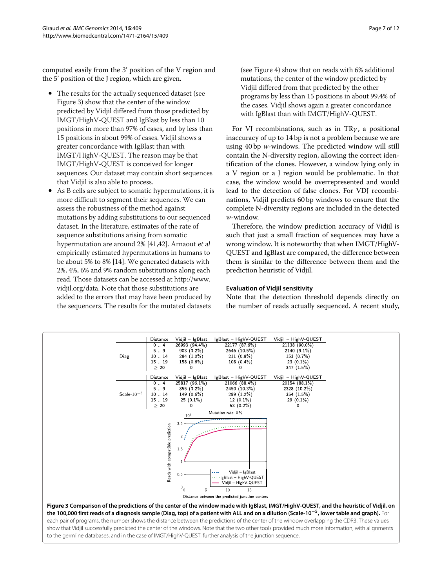computed easily from the 3' position of the V region and the 5' position of the J region, which are given.

- The results for the actually sequenced dataset (see Figure [3\)](#page-7-0) show that the center of the window predicted by Vidjil differed from those predicted by IMGT/HighV-QUEST and IgBlast by less than 10 positions in more than 97% of cases, and by less than 15 positions in about 99% of cases. Vidjil shows a greater concordance with IgBlast than with IMGT/HighV-QUEST. The reason may be that IMGT/HighV-QUEST is conceived for longer sequences. Our dataset may contain short sequences that Vidjil is also able to process.
- As B cells are subject to somatic hypermutations, it is more difficult to segment their sequences. We can assess the robustness of the method against mutations by adding substitutions to our sequenced dataset. In the literature, estimates of the rate of sequence substitutions arising from somatic hypermutation are around 2% [\[41](#page-12-2)[,42\]](#page-12-3). Arnaout et al empirically estimated hypermutations in humans to be about 5% to 8% [\[14\]](#page-11-9). We generated datasets with 2%, 4%, 6% and 9% random substitutions along each read. Those datasets can be accessed at [http://www.](http://www.vidjil.org/data) [vidjil.org/data.](http://www.vidjil.org/data) Note that those substitutions are added to the errors that may have been produced by the sequencers. The results for the mutated datasets

(see Figure [4\)](#page-8-0) show that on reads with 6% additional mutations, the center of the window predicted by Vidjil differed from that predicted by the other programs by less than 15 positions in about 99.4% of the cases. Vidjil shows again a greater concordance with IgBlast than with IMGT/HighV-QUEST.

For VJ recombinations, such as in  $TR\gamma$ , a positional inaccuracy of up to 14 bp is not a problem because we are using 40 bp w-windows. The predicted window will still contain the N-diversity region, allowing the correct identification of the clones. However, a window lying only in a V region or a J region would be problematic. In that case, the window would be overrepresented and would lead to the detection of false clones. For VDJ recombinations, Vidjil predicts 60 bp windows to ensure that the complete N-diversity regions are included in the detected w-window.

Therefore, the window prediction accuracy of Vidjil is such that just a small fraction of sequences may have a wrong window. It is noteworthy that when IMGT/HighV-QUEST and IgBlast are compared, the difference between them is similar to the difference between them and the prediction heuristic of Vidjil.

# **Evaluation of Vidjil sensitivity**

Note that the detection threshold depends directly on the number of reads actually sequenced. A recent study,

<span id="page-7-0"></span>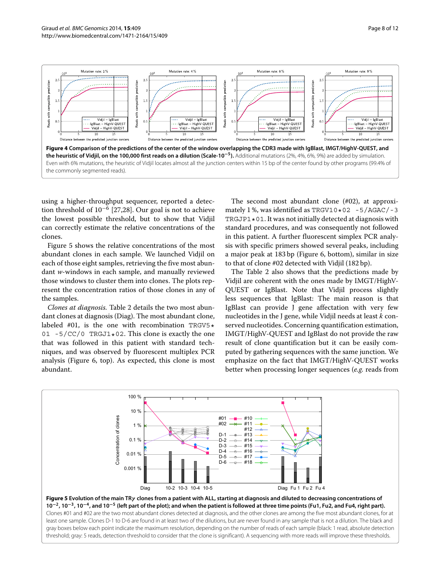

<span id="page-8-0"></span>using a higher-throughput sequencer, reported a detection threshold of  $10^{-6}$  [\[27,](#page-11-30)[28\]](#page-11-19). Our goal is not to achieve the lowest possible threshold, but to show that Vidjil can correctly estimate the relative concentrations of the clones.

Figure [5](#page-8-1) shows the relative concentrations of the most abundant clones in each sample. We launched Vidjil on each of those eight samples, retrieving the five most abundant w-windows in each sample, and manually reviewed those windows to cluster them into clones. The plots represent the concentration ratios of those clones in any of the samples.

Clones at diagnosis. Table [2](#page-9-0) details the two most abundant clones at diagnosis (Diag). The most abundant clone, labeled #01, is the one with recombination TRGV5 $\star$ 01 -5/CC/0 TRGJ1 $\star$ 02. This clone is exactly the one that was followed in this patient with standard techniques, and was observed by fluorescent multiplex PCR analysis (Figure [6,](#page-9-1) top). As expected, this clone is most abundant.

The second most abundant clone (#02), at approximately 1%, was identified as  $TRGVD*02 - 5/AGAC/-3$ TRGJP1\*01. It was not initially detected at diagnosis with standard procedures, and was consequently not followed in this patient. A further fluorescent simplex PCR analysis with specific primers showed several peaks, including a major peak at 183 bp (Figure [6,](#page-9-1) bottom), similar in size to that of clone #02 detected with Vidjil (182 bp).

The Table [2](#page-9-0) also shows that the predictions made by Vidjil are coherent with the ones made by IMGT/HighV-QUEST or IgBlast. Note that Vidjil process slightly less sequences that IgBlast: The main reason is that IgBlast can provide J gene affectation with very few nucleotides in the J gene, while Vidjil needs at least  $k$  conserved nucleotides. Concerning quantification estimation, IMGT/HighV-QUEST and IgBlast do not provide the raw result of clone quantification but it can be easily computed by gathering sequences with the same junction. We emphasize on the fact that IMGT/HighV-QUEST works better when processing longer sequences (e.g. reads from



<span id="page-8-1"></span>gray boxes below each point indicate the maximum resolution, depending on the number of reads of each sample (black: 1 read, absolute detection threshold; gray: 5 reads, detection threshold to consider that the clone is significant). A sequencing with more reads will improve these thresholds.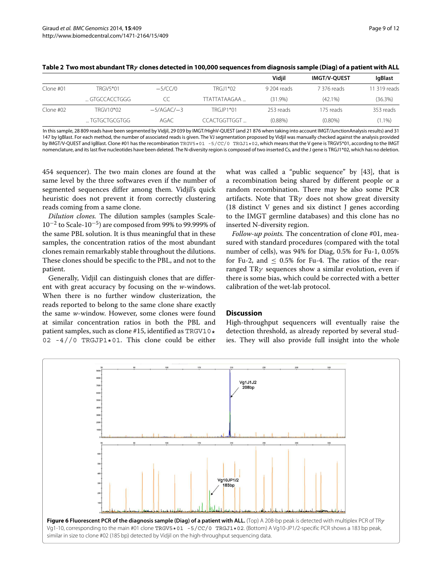|              |              |              |              | <b>Vidiil</b> | <b>IMGT/V-OUEST</b> | <b>IgBlast</b> |
|--------------|--------------|--------------|--------------|---------------|---------------------|----------------|
| Clone #01    | TRGV5*01     | $-5/CC/0$    | TRGJ1*02     | 9 204 reads   | 7376 reads          | 11.319 reads   |
|              | GTGCCACCTGGG |              | TTATTATAAGAA | $(31.9\%)$    | $(42.1\%)$          | (36.3%)        |
| $C$ lone #02 | TRGV10*02    | $-5/AGAC/-3$ | TRGJP1*01    | 253 reads     | 175 reads.          | 353 reads      |
|              | TGTGCTGCGTGG | AGAC.        | CCACTGGTTGGT | $(0.88\%)$    | $(0.80\%)$          | $(1.1\%)$      |

# <span id="page-9-0"></span>**Table 2 Two most abundant TR**γ **clones detected in 100,000 sequences from diagnosis sample (Diag) of a patient with ALL**

In this sample, 28 809 reads have been segmented by Vidjil, 29 039 by IMGT/HighV-QUEST (and 21 876 when taking into account IMGT/JunctionAnalysis results) and 31 147 by IgBlast. For each method, the number of associated reads is given. The VJ segmentation proposed by Vidjil was manually checked against the analysis provided by IMGT/V-QUEST and IgBlast. Clone #01 has the recombination TRGV5\*01 -5/CC/0 TRGJ1\*02, which means that the V gene is TRGV5\*01, according to the IMGT nomenclature, and its last five nucleotides have been deleted. The N-diversity region is composed of two inserted Cs, and the J gene is TRGJ1\*02, which has no deletion.

454 sequencer). The two main clones are found at the same level by the three softwares even if the number of segmented sequences differ among them. Vidjil's quick heuristic does not prevent it from correctly clustering reads coming from a same clone.

Dilution clones. The dilution samples (samples Scale- $10^{-2}$  to Scale- $10^{-5}$ ) are composed from 99% to 99.999% of the same PBL solution. It is thus meaningful that in these samples, the concentration ratios of the most abundant clones remain remarkably stable throughout the dilutions. These clones should be specific to the PBL, and not to the patient.

Generally, Vidjil can distinguish clones that are different with great accuracy by focusing on the w-windows. When there is no further window clusterization, the reads reported to belong to the same clone share exactly the same w-window. However, some clones were found at similar concentration ratios in both the PBL and patient samples, such as clone #15, identified as TRGV10 $\star$ 02  $-4//0$  TRGJP1 $*01$ . This clone could be either what was called a "public sequence" by [\[43\]](#page-12-4), that is a recombination being shared by different people or a random recombination. There may be also some PCR artifacts. Note that  $TR\gamma$  does not show great diversity (18 distinct V genes and six distinct J genes according to the IMGT germline databases) and this clone has no inserted N-diversity region.

Follow-up points. The concentration of clone #01, measured with standard procedures (compared with the total number of cells), was 94% for Diag, 0.5% for Fu-1, 0.05% for Fu-2, and  $\leq$  0.5% for Fu-4. The ratios of the rearranged  $TR\gamma$  sequences show a similar evolution, even if there is some bias, which could be corrected with a better calibration of the wet-lab protocol.

#### **Discussion**

High-throughput sequencers will eventually raise the detection threshold, as already reported by several studies. They will also provide full insight into the whole

<span id="page-9-1"></span>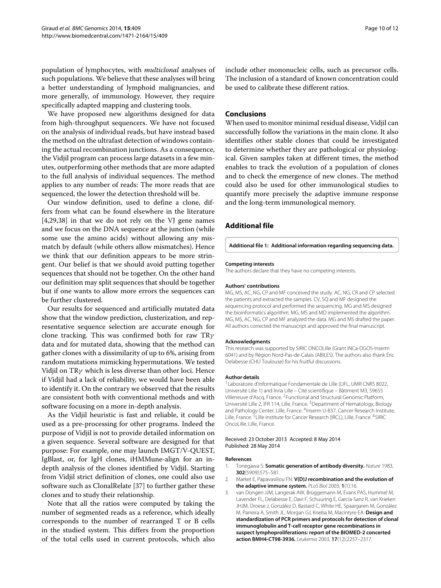population of lymphocytes, with multiclonal analyses of such populations. We believe that these analyses will bring a better understanding of lymphoid malignancies, and more generally, of immunology. However, they require specifically adapted mapping and clustering tools.

We have proposed new algorithms designed for data from high-throughput sequencers. We have not focused on the analysis of individual reads, but have instead based the method on the ultrafast detection of windows containing the actual recombination junctions. As a consequence, the Vidjil program can process large datasets in a few minutes, outperforming other methods that are more adapted to the full analysis of individual sequences. The method applies to any number of reads: The more reads that are sequenced, the lower the detection threshold will be.

Our window definition, used to define a clone, differs from what can be found elsewhere in the literature [\[4](#page-11-0)[,29](#page-11-20)[,38\]](#page-11-29) in that we do not rely on the VJ gene names and we focus on the DNA sequence at the junction (while some use the amino acids) without allowing any mismatch by default (while others allow mismatches). Hence we think that our definition appears to be more stringent. Our belief is that we should avoid putting together sequences that should not be together. On the other hand our definition may split sequences that should be together but if one wants to allow more errors the sequences can be further clustered.

Our results for sequenced and artificially mutated data show that the window prediction, clusterization, and representative sequence selection are accurate enough for clone tracking. This was confirmed both for raw  $TR\gamma$ data and for mutated data, showing that the method can gather clones with a dissimilarity of up to 6%, arising from random mutations mimicking hypermutations. We tested Vidjil on TRγ which is less diverse than other loci. Hence if Vidjil had a lack of reliability, we would have been able to identify it. On the contrary we observed that the results are consistent both with conventional methods and with software focusing on a more in-depth analysis.

As the Vidjil heuristic is fast and reliable, it could be used as a pre-processing for other programs. Indeed the purpose of Vidjil is not to provide detailed information on a given sequence. Several software are designed for that purpose: For example, one may launch IMGT/V-QUEST, IgBlast, or, for IgH clones, iHMMune-align for an indepth analysis of the clones identified by Vidjil. Starting from Vidjil strict definition of clones, one could also use software such as ClonalRelate [\[37\]](#page-11-28) to further gather these clones and to study their relationship.

Note that all the ratios were computed by taking the number of segmented reads as a reference, which ideally corresponds to the number of rearranged T or B cells in the studied system. This differs from the proportion of the total cells used in current protocols, which also

include other mononucleic cells, such as precursor cells. The inclusion of a standard of known concentration could be used to calibrate these different ratios.

#### **Conclusions**

When used to monitor minimal residual disease, Vidjil can successfully follow the variations in the main clone. It also identifies other stable clones that could be investigated to determine whether they are pathological or physiological. Given samples taken at different times, the method enables to track the evolution of a population of clones and to check the emergence of new clones. The method could also be used for other immunological studies to quantify more precisely the adaptive immune response and the long-term immunological memory.

# **Additional file**

<span id="page-10-3"></span>**[Additional file 1:](http://www.biomedcentral.com/content/supplementary/1471-2164-15-409-S1.pdf) Additional information regarding sequencing data.**

#### **Competing interests**

The authors declare that they have no competing interests.

#### **Authors' contributions**

MG, MS, AC, NG, CP and MF conceived the study. AC, NG, CR and CP selected the patients and extracted the samples. CV, SQ and MF designed the sequencing protocol and performed the sequencing. MG and MS designed the bioinformatics algorithm. MG, MS and MD implemented the algorithm. MG, MS, AC, NG, CP and MF analyzed the data. MG and MS drafted the paper. All authors corrected the manuscript and approved the final manuscript.

#### **Acknowledgments**

This research was supported by SIRIC ONCOLille (Grant INCa-DGOS-Inserm 6041) and by Région Nord-Pas-de-Calais (ABILES). The authors also thank Éric Delabesse (CHU Toulouse) for his fruitful discussions.

#### **Author details**

<sup>1</sup> Laboratoire d'Informatique Fondamentale de Lille (LIFL, UMR CNRS 8022, Université Lille 1) and Inria Lille – Cité scientifique – Bâtiment M3, 59655 Villeneuve d'Ascq, France. <sup>2</sup> Functional and Structural Genomic Platform, Université Lille 2, IFR 114, Lille, France. <sup>3</sup>Department of Hematology, Biology and Pathology Center, Lille, France. <sup>4</sup>Inserm U-837, Cancer Research Institute, Lille, France. <sup>5</sup> Lille Institute for Cancer Research (IRCL), Lille, France. <sup>6</sup> SIRIC OncoLille, Lille, France.

#### Received: 23 October 2013 Accepted: 8 May 2014 Published: 28 May 2014

#### **References**

- <span id="page-10-0"></span>1. Tonegawa S: **Somatic generation of antibody diversity.** *Nature* 1983, **302**(5909):575–581.
- <span id="page-10-1"></span>2. Market E, Papavasiliou FN: **V(D)J recombination and the evolution of the adaptive immune system.** *PLoS Biol* 2003, **1**(1):16.
- <span id="page-10-2"></span>3. van Dongen JJM, Langerak AW, Brüggemann M, Evans PAS, Hummel M, Lavender FL, Delabesse E, Davi F, Schuuring E, García-Sanz R, van Krieken JHJM, Droese J, González D, Bastard C, White HE, Spaargaren M, González M, Parreira A, Smith JL, Morgan GJ, Kneba M, Macintyre EA: **Design and standardization of PCR primers and protocols for detection of clonal immunoglobulin and T-cell receptor gene recombinations in suspect lymphoproliferations: report of the BIOMED-2 concerted action BMH4-CT98-3936.** *Leukemia* 2003, **17**(12):2257–2317.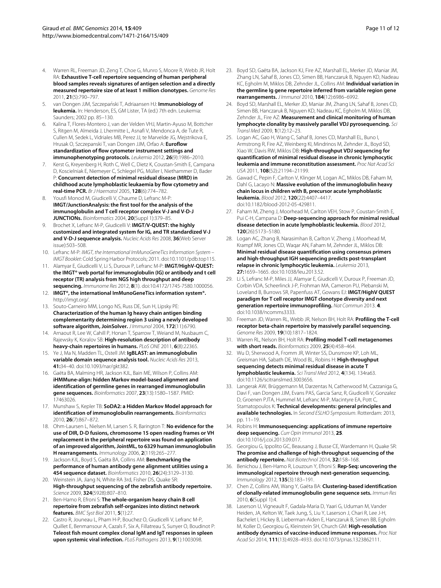- <span id="page-11-0"></span>4. Warren RL, Freeman JD, Zeng T, Choe G, Munro S, Moore R, Webb JR, Holt RA: **Exhaustive T-cell repertoire sequencing of human peripheral blood samples reveals signatures of antigen selection and a directly measured repertoire size of at least 1 million clonotypes.** *Genome Res* 2011, **21**(5):790–797.
- <span id="page-11-1"></span>5. van Dongen JJM, Szczepański T, Adriaansen HJ: **Immunobiology of leukemia.** In: Henderson, ES, GM Lister, TA (ed.) 7th edn. Leukemia: Saunders; 2002 pp. 85–130.
- <span id="page-11-2"></span>6. Kalina T, Flores-Montero J, van der Velden VHJ, Martin-Ayuso M, Bottcher S, Ritgen M, Almeida J, Lhermitte L, Asnafi V, Mendonca A, de Tute R, Cullen M, Sedek L, Vidriales MB, Perez JJ, te Marvelde JG, Mejstrikova E, Hrusak O, Szczepanski T, van Dongen JJM, Orfao A: **Euroflow standardization of flow cytometer instrument settings and immunophenotyping protocols.** *Leukemia* 2012, **26**(9):1986–2010.
- <span id="page-11-3"></span>7. Kerst G, Kreyenberg H, Roth C, Well C, Dietz K, Coustan-Smith E, Campana D, Koscielniak E, Niemeyer C, Schlegel PG, Müller I, Niethammer D, Bader P: **Concurrent detection of minimal residual disease (MRD) in childhood acute lymphoblastic leukaemia by flow cytometry and real-time PCR.** *Br J Haematol* 2005, **128**(6):774–782.
- <span id="page-11-4"></span>8. Yousfi Monod M, Giudicelli V, Chaume D, Lefranc M-P: **IMGT/JunctionAnalysis: the first tool for the analysis of the immunoglobulin and T cell receptor complex V-J and V-D-J JUNCTIONs.** *Bioinformatics* 2004, **20**(Suppl 1):379–85.
- <span id="page-11-7"></span>9. Brochet X, Lefranc M-P, Giudicelli V: **IMGT/V-QUEST: the highly customized and integrated system for IG, and TR standardized V-J and V-D-J sequence analysis.** *Nucleic Acids Res* 2008, **36**(Web Server issue):503–508.
- 10. Lefranc M-P: *IMGT, the International ImMunoGeneTics Information System – IMGT Booklet*: Cold Spring Harbor Protocols; 2011. doi:10.1101/pdb.top115.
- <span id="page-11-8"></span>11. Alamyar E, Giudicelli V, Li S, Duroux P, Lefranc M-P: **IMGT/HighV-QUEST: the IMGT® web portal for immunoglobulin (IG) or antibody and t cell receptor (TR) analysis from NGS high throughput and deep sequencing.** *Immunome Res* 2012, **8**(1). doi:10.4172/1745-7580.1000056.
- <span id="page-11-5"></span>12. **IMGT®, the international ImMunoGeneTics information system®.** [http://imgt.org/.](http://imgt.org/)
- <span id="page-11-6"></span>13. Souto-Carneiro MM, Longo NS, Russ DE, Sun H, Lipsky PE: **Characterization of the human Ig heavy chain antigen binding complementarity determining region 3 using a newly developed software algorithm, JoinSolver.** *J Immunol* 2004, **172**(11):6790.
- <span id="page-11-9"></span>14. Arnaout R, Lee W, Cahill P, Honan T, Sparrow T, Weiand M, Nusbaum C, Rajewsky K, Koralov SB: **High-resolution description of antibody heavy-chain repertoires in humans.** *PLoS ONE* 2011, **6**(8):22365.
- <span id="page-11-10"></span>15. Ye J, Ma N, Madden TL, Ostell JM: **IgBLAST: an immunoglobulin variable domain sequence analysis tool.** *Nucleic Acids Res* 2013, **41:**34–40. doi:10.1093/nar/gkt382.
- <span id="page-11-11"></span>16. Gaëta BA, Malming HR, Jackson KJL, Bain ME, Wilson P, Collins AM: **iHMMune-align: hidden Markov model-based alignment and identification of germline genes in rearranged immunoglobulin gene sequences.** *Bioinformatics* 2007, **23**(13):1580–1587. PMID: 17463026.
- <span id="page-11-12"></span>17. Munshaw S, Kepler TB: **SoDA2: a Hidden Markov Model approach for identification of immunoglobulin rearrangements.** *Bioinformatics* 2010, **26**(7):867–872.
- <span id="page-11-13"></span>18. Ohm-Laursen L, Nielsen M, Larsen S. R, Barington T: **No evidence for the use of DIR, D-D fusions, chromosome 15 open reading frames or VH replacement in the peripheral repertoire was found on application of an improved algorithm, JointML, to 6329 human immunoglobulin H rearrangements.** *Immunology* 2006, **2**(119):265–277.
- <span id="page-11-14"></span>19. Jackson KJL, Boyd S, Gaëta BA, Collins AM: **Benchmarking the performance of human antibody gene alignment utilities using a 454 sequence dataset.** *Bioinformatics* 2010, **26**(24):3129–3130.
- <span id="page-11-15"></span>20. Weinstein JA, Jiang N, White RA 3rd, Fisher DS, Quake SR: **High-throughput sequencing of the zebrafish antibody repertoire.** *Science* 2009, **324**(5928):807–810.
- 21. Ben-Hamo R, Efroni S: **The whole-organism heavy chain B cell repertoire from zebrafish self-organizes into distinct network features.** *BMC Syst Biol* 2011, **5**(1):27.
- <span id="page-11-16"></span>22. Castro R, Jouneau L, Pham H-P, Bouchez O, Giudicelli V, Lefranc M-P, Quillet E, Benmansour A, Cazals F, Six A, Fillatreau S, Sunyer O, Boudinot P: **Teleost fish mount complex clonal IgM and IgT responses in spleen upon systemic viral infection.** *PLoS Pathogens* 2013, **9**(1):1003098.
- <span id="page-11-17"></span>23. Boyd SD, Gaëta BA, Jackson KJ, Fire AZ, Marshall EL, Merker JD, Maniar JM, Zhang LN, Sahaf B, Jones CD, Simen BB, Hanczaruk B, Nguyen KD, Nadeau KC, Egholm M, Miklos DB, Zehnder JL, Collins AM: **Individual variation in the germline Ig gene repertoire inferred from variable region gene rearrangements.** *J Immunol* 2010, **184**(12):6986–6992.
- <span id="page-11-18"></span>24. Boyd SD, Marshall EL, Merker JD, Maniar JM, Zhang LN, Sahaf B, Jones CD, Simen BB, Hanczaruk B, Nguyen KD, Nadeau KC, Egholm M, Miklos DB, Zehnder JL, Fire AZ: **Measurement and clinical monitoring of human lymphocyte clonality by massively parallel VDJ pyrosequencing.** *Sci Transl Med* 2009, **1**(12):12–23.
- 25. Logan AC, Gao H, Wang C, Sahaf B, Jones CD, Marshall EL, Buno I, Armstrong R, Fire AZ, Weinberg KI, Mindrinos M, Zehnder JL, Boyd SD, Xiao W, Davis RW, Miklos DB: **High-throughput VDJ sequencing for quantification of minimal residual disease in chronic lymphocytic leukemia and immune reconstitution assessment.** *Proc Nat Acad Sci USA* 2011, **108**(52):21194–21199.
- <span id="page-11-23"></span>26. Gawad C, Pepin F, Carlton V, Klinger M, Logan AC, Miklos DB, Faham M, Dahl G, Lacayo N: **Massive evolution of the immunoglobulin heavy chain locus in children with B, precursor acute lymphoblastic leukemia.** *Blood* 2012, **120**(22):4407–4417. doi:10.1182/blood-2012-05-429811.
- <span id="page-11-30"></span>27. Faham M, Zheng J, Moorhead M, Carlton VEH, Stow P, Coustan-Smith E, Pui C-H, Campana D: **Deep-sequencing approach for minimal residual disease detection in acute lymphoblastic leukemia.** *Blood* 2012, **120**(26):5173–5180.
- <span id="page-11-19"></span>28. Logan AC, Zhang B, Narasimhan B, Carlton V, Zheng J, Moorhead M, Krampf MR, Jones CD, Waqar AN, Faham M, Zehnder JL, Miklos DB: **Minimal residual disease quantification using consensus primers and high-throughput IGH sequencing predicts post-transplant relapse in chronic lymphocytic leukemia.** *Leukemia* 2013, **27:**1659–1665. doi:10.1038/leu.2013.52.
- <span id="page-11-20"></span>29. Li S, Lefranc M-P, Miles JJ, Alamyar E, Giudicelli V, Duroux P, Freeman JD, Corbin VDA, Scheerlinck J-P, Frohman MA, Cameron PU, Plebanski M, Loveland B, Burrows SR, Papenfuss AT, Gowans EJ: **IMGT/HighV QUEST paradigm for T cell receptor IMGT clonotype diversity and next generation repertoire immunoprofiling.** *Nat Commun* 2013. **4**. doi:10.1038/ncomms3333.
- <span id="page-11-21"></span>30. Freeman JD, Warren RL, Webb JR, Nelson BH, Holt RA: **Profiling the T-cell receptor beta-chain repertoire by massively parallel sequencing.** *Genome Res* 2009, **19**(10):1817–1824.
- <span id="page-11-22"></span>31. Warren RL, Nelson BH, Holt RA: **Profiling model T-cell metagenomes with short reads.** *Bioinformatics* 2009, **25**(4):458–464.
- <span id="page-11-24"></span>32. Wu D, Sherwood A, Fromm JR, Winter SS, Dunsmore KP, Loh ML, Greisman HA, Sabath DE, Wood BL, Robins H: **High-throughput sequencing detects minimal residual disease in acute T lymphoblastic leukemia.** *Sci Transl Med* 2012, **4**(134). 134ra63. doi:10.1126/scitranslmed.3003656.
- <span id="page-11-25"></span>33. Langerak AW, Brüggemann M, Darzentas N, Catherwood M, Cazzaniga G, Davi F, van Dongen JJM, Evans PAS, Garcia Sanz, R, Giudicelli V, Gonzalez D, Groenen PJTA, Hummel M, Lefranc M-P, Macintyre EA, Pott C, Stamatopoulos K: **Technical developments: general principles and available technologies.** In *Second ESLHO Symposium*. Rotterdam: 2013, pp. 11–19.
- 34. Robins H: **Immunosequencing: applications of immune repertoire deep sequencing.** *Curr Opin Immunol* 2013, **25**. doi:10.1016/j.coi.2013.09.017.
- <span id="page-11-26"></span>35. Georgiou G, Ippolito GC, Beausang J, Busse CE, Wardemann H, Quake SR: **The promise and challenge of high-throughput sequencing of the antibody repertoire.** *Nat Biotechnol* 2014, **32:**158–168.
- <span id="page-11-27"></span>36. Benichou J, Ben-Hamo R, Louzoun Y, Efroni S: **Rep-Seq: uncovering the immunological repertoire through next-generation sequencing.** *Immunology* 2012, **135**(3):183–191.
- <span id="page-11-28"></span>37. Chen Z, Collins AM, Wang Y, Gaëta BA: **Clustering-based identification of clonally-related immunoglobulin gene sequence sets.** *Immun Res* 2010, **6**(Suppl 1):4.
- <span id="page-11-29"></span>38. Laserson U, Vigneault F, Gadala-Maria D, Yaari G, Uduman M, Vander Heiden, JA, Kelton W, Taek Jung, S, Liu Y, Laserson J, Chari R, Lee J-H, Bachelet I, Hickey B, Lieberman-Aiden E, Hanczaruk B, Simen BB, Egholm M, Koller D, Georgiou G, Kleinstein SH, Church GM: **High-resolution antibody dynamics of vaccine-induced immune responses.** *Proc Nat Acad Sci* 2014, **111**(13):4928–4933. doi:10.1073/pnas.1323862111.